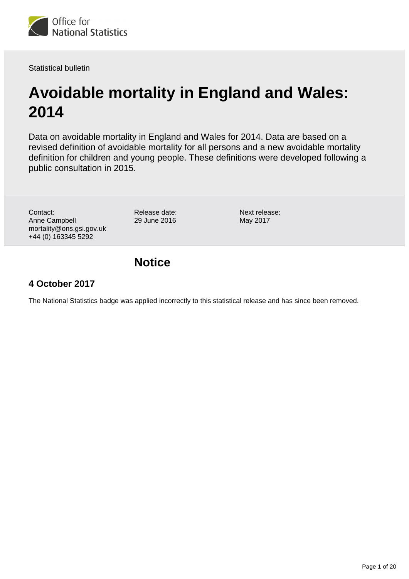

Statistical bulletin

# **Avoidable mortality in England and Wales: 2014**

Data on avoidable mortality in England and Wales for 2014. Data are based on a revised definition of avoidable mortality for all persons and a new avoidable mortality definition for children and young people. These definitions were developed following a public consultation in 2015.

Contact: Anne Campbell mortality@ons.gsi.gov.uk +44 (0) 163345 5292

Release date: 29 June 2016

Next release: May 2017

# **Notice**

### **4 October 2017**

The National Statistics badge was applied incorrectly to this statistical release and has since been removed.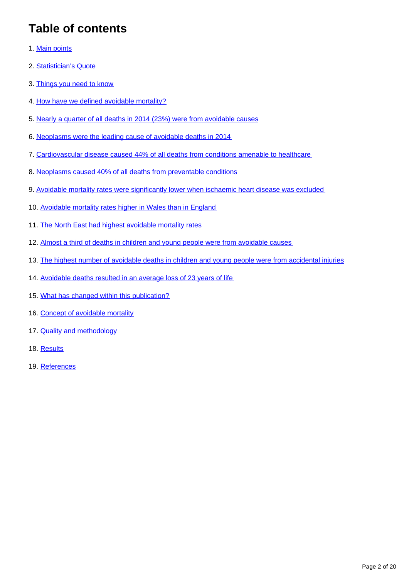# **Table of contents**

- 1. [Main points](#page-2-0)
- 2. [Statistician's Quote](#page-2-1)
- 3. [Things you need to know](#page-2-2)
- 4. [How have we defined avoidable mortality?](#page-3-0)
- 5. [Nearly a quarter of all deaths in 2014 \(23%\) were from avoidable causes](#page-3-1)
- 6. [Neoplasms were the leading cause of avoidable deaths in 2014](#page-5-0)
- 7. [Cardiovascular disease caused 44% of all deaths from conditions amenable to healthcare](#page-7-0)
- 8. [Neoplasms caused 40% of all deaths from preventable conditions](#page-7-1)
- 9. [Avoidable mortality rates were significantly lower when ischaemic heart disease was excluded](#page-7-2)
- 10. [Avoidable mortality rates higher in Wales than in England](#page-10-0)
- 11. [The North East had highest avoidable mortality rates](#page-12-0)
- 12. [Almost a third of deaths in children and young people were from avoidable causes](#page-13-0)
- 13. [The highest number of avoidable deaths in children and young people were from accidental injuries](#page-13-1)
- 14. [Avoidable deaths resulted in an average loss of 23 years of life](#page-16-0)
- 15. [What has changed within this publication?](#page-16-1)
- 16. [Concept of avoidable mortality](#page-17-0)
- 17. **[Quality and methodology](#page-17-1)**
- 18. [Results](#page-18-0)
- 19. References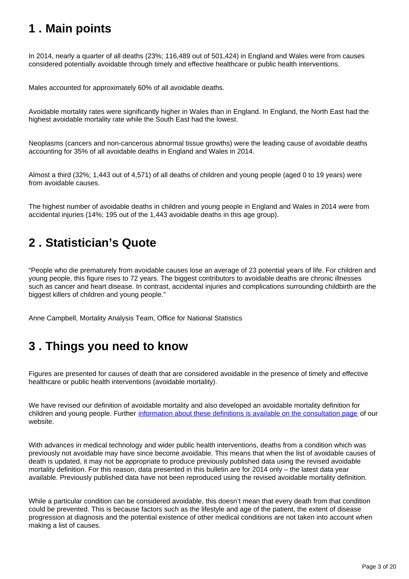# <span id="page-2-0"></span>**1 . Main points**

In 2014, nearly a quarter of all deaths (23%; 116,489 out of 501,424) in England and Wales were from causes considered potentially avoidable through timely and effective healthcare or public health interventions.

Males accounted for approximately 60% of all avoidable deaths.

Avoidable mortality rates were significantly higher in Wales than in England. In England, the North East had the highest avoidable mortality rate while the South East had the lowest.

Neoplasms (cancers and non-cancerous abnormal tissue growths) were the leading cause of avoidable deaths accounting for 35% of all avoidable deaths in England and Wales in 2014.

Almost a third (32%; 1,443 out of 4,571) of all deaths of children and young people (aged 0 to 19 years) were from avoidable causes.

The highest number of avoidable deaths in children and young people in England and Wales in 2014 were from accidental injuries (14%; 195 out of the 1,443 avoidable deaths in this age group).

# <span id="page-2-1"></span>**2 . Statistician's Quote**

"People who die prematurely from avoidable causes lose an average of 23 potential years of life. For children and young people, this figure rises to 72 years. The biggest contributors to avoidable deaths are chronic illnesses such as cancer and heart disease. In contrast, accidental injuries and complications surrounding childbirth are the biggest killers of children and young people."

Anne Campbell, Mortality Analysis Team, Office for National Statistics

# <span id="page-2-2"></span>**3 . Things you need to know**

Figures are presented for causes of death that are considered avoidable in the presence of timely and effective healthcare or public health interventions (avoidable mortality).

We have revised our definition of avoidable mortality and also developed an avoidable mortality definition for children and young people. Further [information about these definitions is available on the consultation page](https://www.ons.gov.uk/aboutus/whatwedo/statistics/consultationsandsurveys/allconsultationsandsurveys/reviewofavoidablemortalitydefinition) of our website.

With advances in medical technology and wider public health interventions, deaths from a condition which was previously not avoidable may have since become avoidable. This means that when the list of avoidable causes of death is updated, it may not be appropriate to produce previously published data using the revised avoidable mortality definition. For this reason, data presented in this bulletin are for 2014 only – the latest data year available. Previously published data have not been reproduced using the revised avoidable mortality definition.

While a particular condition can be considered avoidable, this doesn't mean that every death from that condition could be prevented. This is because factors such as the lifestyle and age of the patient, the extent of disease progression at diagnosis and the potential existence of other medical conditions are not taken into account when making a list of causes.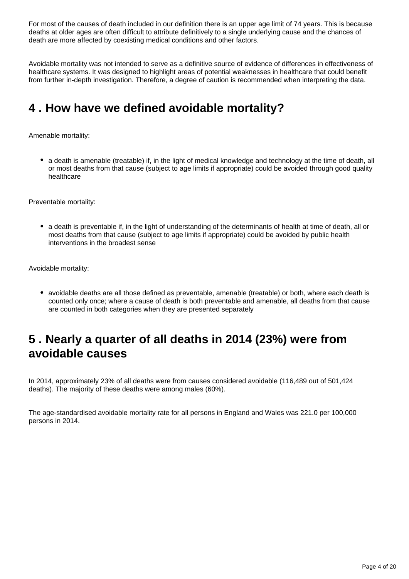For most of the causes of death included in our definition there is an upper age limit of 74 years. This is because deaths at older ages are often difficult to attribute definitively to a single underlying cause and the chances of death are more affected by coexisting medical conditions and other factors.

Avoidable mortality was not intended to serve as a definitive source of evidence of differences in effectiveness of healthcare systems. It was designed to highlight areas of potential weaknesses in healthcare that could benefit from further in-depth investigation. Therefore, a degree of caution is recommended when interpreting the data.

# <span id="page-3-0"></span>**4 . How have we defined avoidable mortality?**

Amenable mortality:

• a death is amenable (treatable) if, in the light of medical knowledge and technology at the time of death, all or most deaths from that cause (subject to age limits if appropriate) could be avoided through good quality healthcare

Preventable mortality:

a death is preventable if, in the light of understanding of the determinants of health at time of death, all or most deaths from that cause (subject to age limits if appropriate) could be avoided by public health interventions in the broadest sense

Avoidable mortality:

• avoidable deaths are all those defined as preventable, amenable (treatable) or both, where each death is counted only once; where a cause of death is both preventable and amenable, all deaths from that cause are counted in both categories when they are presented separately

### <span id="page-3-1"></span>**5 . Nearly a quarter of all deaths in 2014 (23%) were from avoidable causes**

In 2014, approximately 23% of all deaths were from causes considered avoidable (116,489 out of 501,424 deaths). The majority of these deaths were among males (60%).

The age-standardised avoidable mortality rate for all persons in England and Wales was 221.0 per 100,000 persons in 2014.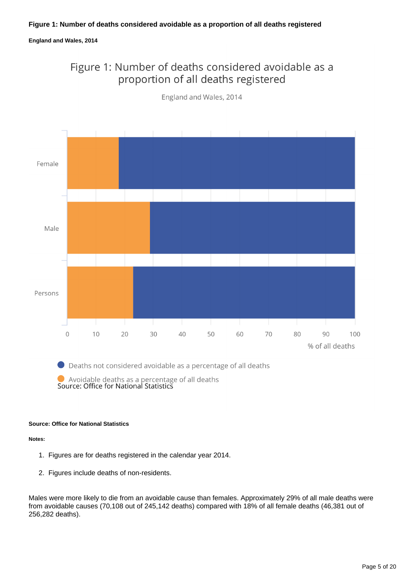#### **Figure 1: Number of deaths considered avoidable as a proportion of all deaths registered**

#### **England and Wales, 2014**

### Figure 1: Number of deaths considered avoidable as a proportion of all deaths registered



England and Wales, 2014

 $\bullet$  Deaths not considered avoidable as a percentage of all deaths

Avoidable deaths as a percentage of all deaths<br>Source: Office for National Statistics

#### **Source: Office for National Statistics**

**Notes:**

- 1. Figures are for deaths registered in the calendar year 2014.
- 2. Figures include deaths of non-residents.

Males were more likely to die from an avoidable cause than females. Approximately 29% of all male deaths were from avoidable causes (70,108 out of 245,142 deaths) compared with 18% of all female deaths (46,381 out of 256,282 deaths).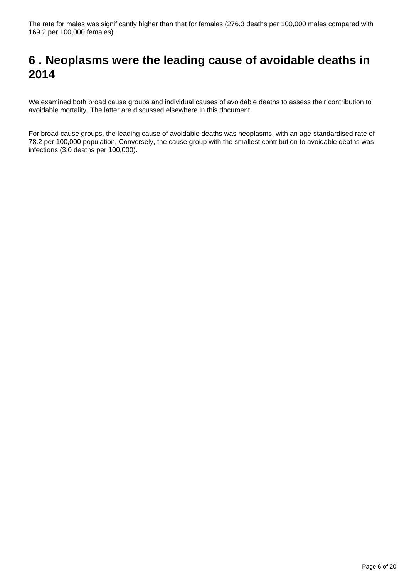# <span id="page-5-0"></span>**6 . Neoplasms were the leading cause of avoidable deaths in 2014**

We examined both broad cause groups and individual causes of avoidable deaths to assess their contribution to avoidable mortality. The latter are discussed elsewhere in this document.

For broad cause groups, the leading cause of avoidable deaths was neoplasms, with an age-standardised rate of 78.2 per 100,000 population. Conversely, the cause group with the smallest contribution to avoidable deaths was infections (3.0 deaths per 100,000).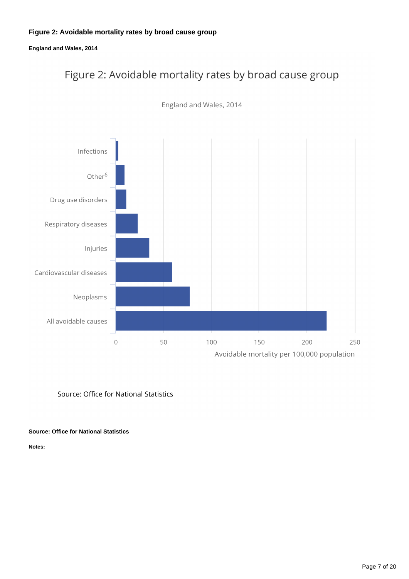### **Figure 2: Avoidable mortality rates by broad cause group**

**England and Wales, 2014**

# Figure 2: Avoidable mortality rates by broad cause group



England and Wales, 2014

Source: Office for National Statistics

**Source: Office for National Statistics**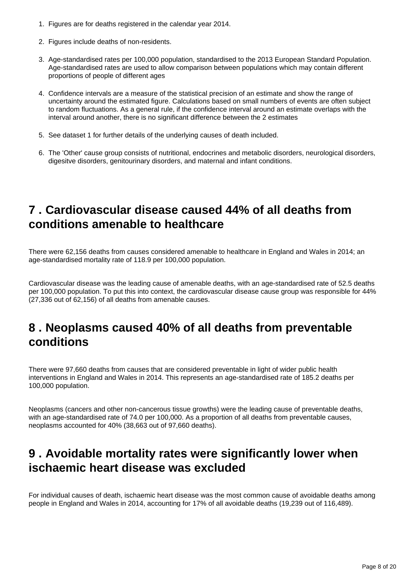- 1. Figures are for deaths registered in the calendar year 2014.
- 2. Figures include deaths of non-residents.
- 3. Age-standardised rates per 100,000 population, standardised to the 2013 European Standard Population. Age-standardised rates are used to allow comparison between populations which may contain different proportions of people of different ages
- 4. Confidence intervals are a measure of the statistical precision of an estimate and show the range of uncertainty around the estimated figure. Calculations based on small numbers of events are often subject to random fluctuations. As a general rule, if the confidence interval around an estimate overlaps with the interval around another, there is no significant difference between the 2 estimates
- 5. See dataset 1 for further details of the underlying causes of death included.
- 6. The 'Other' cause group consists of nutritional, endocrines and metabolic disorders, neurological disorders, digesitve disorders, genitourinary disorders, and maternal and infant conditions.

### <span id="page-7-0"></span>**7 . Cardiovascular disease caused 44% of all deaths from conditions amenable to healthcare**

There were 62,156 deaths from causes considered amenable to healthcare in England and Wales in 2014; an age-standardised mortality rate of 118.9 per 100,000 population.

Cardiovascular disease was the leading cause of amenable deaths, with an age-standardised rate of 52.5 deaths per 100,000 population. To put this into context, the cardiovascular disease cause group was responsible for 44% (27,336 out of 62,156) of all deaths from amenable causes.

# <span id="page-7-1"></span>**8 . Neoplasms caused 40% of all deaths from preventable conditions**

There were 97,660 deaths from causes that are considered preventable in light of wider public health interventions in England and Wales in 2014. This represents an age-standardised rate of 185.2 deaths per 100,000 population.

Neoplasms (cancers and other non-cancerous tissue growths) were the leading cause of preventable deaths, with an age-standardised rate of 74.0 per 100,000. As a proportion of all deaths from preventable causes, neoplasms accounted for 40% (38,663 out of 97,660 deaths).

### <span id="page-7-2"></span>**9 . Avoidable mortality rates were significantly lower when ischaemic heart disease was excluded**

For individual causes of death, ischaemic heart disease was the most common cause of avoidable deaths among people in England and Wales in 2014, accounting for 17% of all avoidable deaths (19,239 out of 116,489).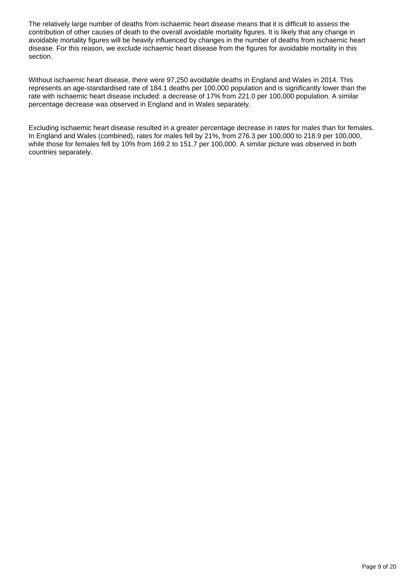The relatively large number of deaths from ischaemic heart disease means that it is difficult to assess the contribution of other causes of death to the overall avoidable mortality figures. It is likely that any change in avoidable mortality figures will be heavily influenced by changes in the number of deaths from ischaemic heart disease. For this reason, we exclude ischaemic heart disease from the figures for avoidable mortality in this section.

Without ischaemic heart disease, there were 97,250 avoidable deaths in England and Wales in 2014. This represents an age-standardised rate of 184.1 deaths per 100,000 population and is significantly lower than the rate with ischaemic heart disease included: a decrease of 17% from 221.0 per 100,000 population. A similar percentage decrease was observed in England and in Wales separately.

Excluding ischaemic heart disease resulted in a greater percentage decrease in rates for males than for females. In England and Wales (combined), rates for males fell by 21%, from 276.3 per 100,000 to 218.9 per 100,000, while those for females fell by 10% from 169.2 to 151.7 per 100,000. A similar picture was observed in both countries separately.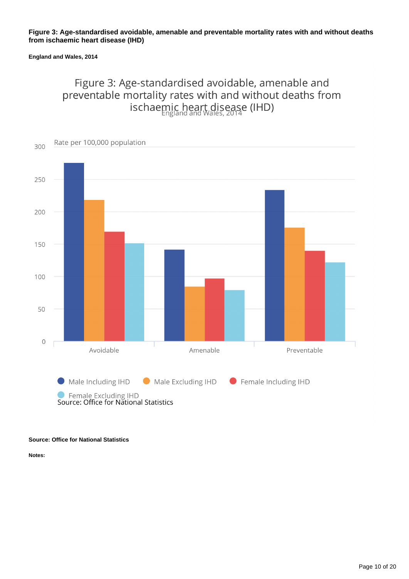#### **Figure 3: Age-standardised avoidable, amenable and preventable mortality rates with and without deaths from ischaemic heart disease (IHD)**

#### **England and Wales, 2014**

### Figure 3: Age-standardised avoidable, amenable and preventable mortality rates with and without deaths from ischaemic heart disease (IHD)



#### **Source: Office for National Statistics**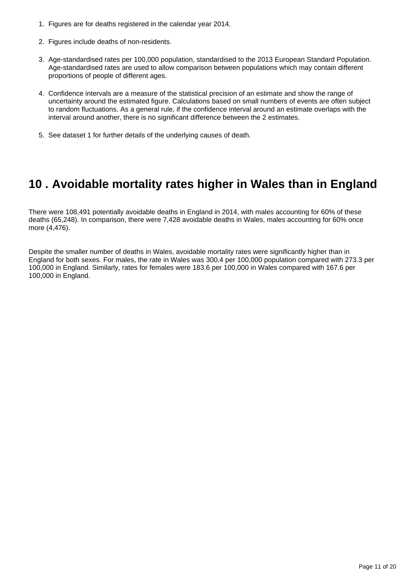- 1. Figures are for deaths registered in the calendar year 2014.
- 2. Figures include deaths of non-residents.
- 3. Age-standardised rates per 100,000 population, standardised to the 2013 European Standard Population. Age-standardised rates are used to allow comparison between populations which may contain different proportions of people of different ages.
- 4. Confidence intervals are a measure of the statistical precision of an estimate and show the range of uncertainty around the estimated figure. Calculations based on small numbers of events are often subject to random fluctuations. As a general rule, if the confidence interval around an estimate overlaps with the interval around another, there is no significant difference between the 2 estimates.
- 5. See dataset 1 for further details of the underlying causes of death.

### <span id="page-10-0"></span>**10 . Avoidable mortality rates higher in Wales than in England**

There were 108,491 potentially avoidable deaths in England in 2014, with males accounting for 60% of these deaths (65,248). In comparison, there were 7,428 avoidable deaths in Wales, males accounting for 60% once more (4,476).

Despite the smaller number of deaths in Wales, avoidable mortality rates were significantly higher than in England for both sexes. For males, the rate in Wales was 300.4 per 100,000 population compared with 273.3 per 100,000 in England. Similarly, rates for females were 183.6 per 100,000 in Wales compared with 167.6 per 100,000 in England.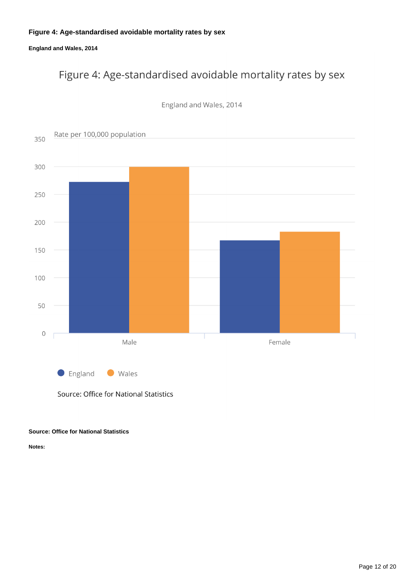### **Figure 4: Age-standardised avoidable mortality rates by sex**

**England and Wales, 2014**

# Figure 4: Age-standardised avoidable mortality rates by sex



England and Wales, 2014

Source: Office for National Statistics

#### **Source: Office for National Statistics**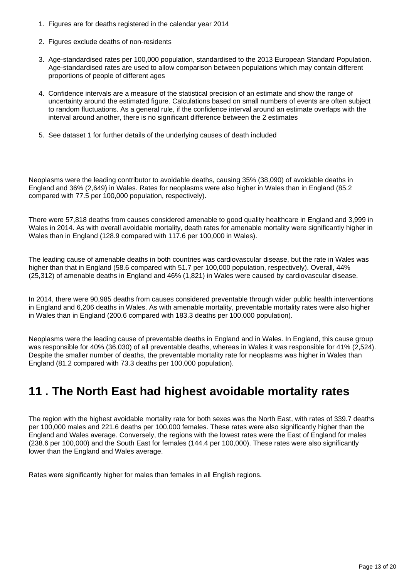- 1. Figures are for deaths registered in the calendar year 2014
- 2. Figures exclude deaths of non-residents
- 3. Age-standardised rates per 100,000 population, standardised to the 2013 European Standard Population. Age-standardised rates are used to allow comparison between populations which may contain different proportions of people of different ages
- 4. Confidence intervals are a measure of the statistical precision of an estimate and show the range of uncertainty around the estimated figure. Calculations based on small numbers of events are often subject to random fluctuations. As a general rule, if the confidence interval around an estimate overlaps with the interval around another, there is no significant difference between the 2 estimates
- 5. See dataset 1 for further details of the underlying causes of death included

Neoplasms were the leading contributor to avoidable deaths, causing 35% (38,090) of avoidable deaths in England and 36% (2,649) in Wales. Rates for neoplasms were also higher in Wales than in England (85.2 compared with 77.5 per 100,000 population, respectively).

There were 57,818 deaths from causes considered amenable to good quality healthcare in England and 3,999 in Wales in 2014. As with overall avoidable mortality, death rates for amenable mortality were significantly higher in Wales than in England (128.9 compared with 117.6 per 100,000 in Wales).

The leading cause of amenable deaths in both countries was cardiovascular disease, but the rate in Wales was higher than that in England (58.6 compared with 51.7 per 100,000 population, respectively). Overall, 44% (25,312) of amenable deaths in England and 46% (1,821) in Wales were caused by cardiovascular disease.

In 2014, there were 90,985 deaths from causes considered preventable through wider public health interventions in England and 6,206 deaths in Wales. As with amenable mortality, preventable mortality rates were also higher in Wales than in England (200.6 compared with 183.3 deaths per 100,000 population).

Neoplasms were the leading cause of preventable deaths in England and in Wales. In England, this cause group was responsible for 40% (36,030) of all preventable deaths, whereas in Wales it was responsible for 41% (2,524). Despite the smaller number of deaths, the preventable mortality rate for neoplasms was higher in Wales than England (81.2 compared with 73.3 deaths per 100,000 population).

### <span id="page-12-0"></span>**11 . The North East had highest avoidable mortality rates**

The region with the highest avoidable mortality rate for both sexes was the North East, with rates of 339.7 deaths per 100,000 males and 221.6 deaths per 100,000 females. These rates were also significantly higher than the England and Wales average. Conversely, the regions with the lowest rates were the East of England for males (238.6 per 100,000) and the South East for females (144.4 per 100,000). These rates were also significantly lower than the England and Wales average.

Rates were significantly higher for males than females in all English regions.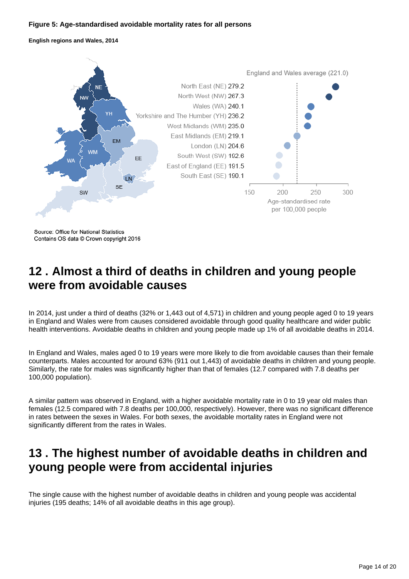#### **Figure 5: Age-standardised avoidable mortality rates for all persons**

**English regions and Wales, 2014**



Source: Office for National Statistics Contains OS data @ Crown copyright 2016

### <span id="page-13-0"></span>**12 . Almost a third of deaths in children and young people were from avoidable causes**

In 2014, just under a third of deaths (32% or 1,443 out of 4,571) in children and young people aged 0 to 19 years in England and Wales were from causes considered avoidable through good quality healthcare and wider public health interventions. Avoidable deaths in children and young people made up 1% of all avoidable deaths in 2014.

In England and Wales, males aged 0 to 19 years were more likely to die from avoidable causes than their female counterparts. Males accounted for around 63% (911 out 1,443) of avoidable deaths in children and young people. Similarly, the rate for males was significantly higher than that of females (12.7 compared with 7.8 deaths per 100,000 population).

A similar pattern was observed in England, with a higher avoidable mortality rate in 0 to 19 year old males than females (12.5 compared with 7.8 deaths per 100,000, respectively). However, there was no significant difference in rates between the sexes in Wales. For both sexes, the avoidable mortality rates in England were not significantly different from the rates in Wales.

# <span id="page-13-1"></span>**13 . The highest number of avoidable deaths in children and young people were from accidental injuries**

The single cause with the highest number of avoidable deaths in children and young people was accidental injuries (195 deaths; 14% of all avoidable deaths in this age group).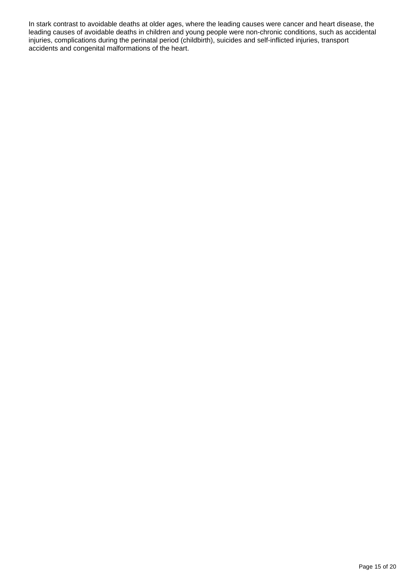In stark contrast to avoidable deaths at older ages, where the leading causes were cancer and heart disease, the leading causes of avoidable deaths in children and young people were non-chronic conditions, such as accidental injuries, complications during the perinatal period (childbirth), suicides and self-inflicted injuries, transport accidents and congenital malformations of the heart.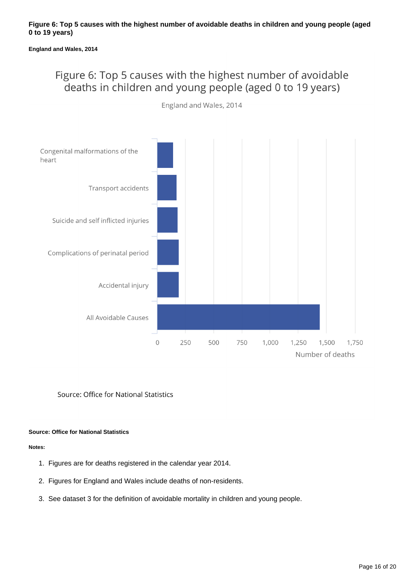#### **England and Wales, 2014**

### Figure 6: Top 5 causes with the highest number of avoidable deaths in children and young people (aged 0 to 19 years)



England and Wales, 2014

Source: Office for National Statistics

#### **Source: Office for National Statistics**

- 1. Figures are for deaths registered in the calendar year 2014.
- 2. Figures for England and Wales include deaths of non-residents.
- 3. See dataset 3 for the definition of avoidable mortality in children and young people.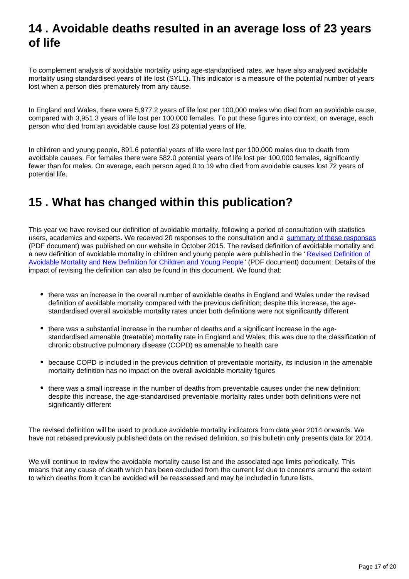### <span id="page-16-0"></span>**14 . Avoidable deaths resulted in an average loss of 23 years of life**

To complement analysis of avoidable mortality using age-standardised rates, we have also analysed avoidable mortality using standardised years of life lost (SYLL). This indicator is a measure of the potential number of years lost when a person dies prematurely from any cause.

In England and Wales, there were 5,977.2 years of life lost per 100,000 males who died from an avoidable cause, compared with 3,951.3 years of life lost per 100,000 females. To put these figures into context, on average, each person who died from an avoidable cause lost 23 potential years of life.

In children and young people, 891.6 potential years of life were lost per 100,000 males due to death from avoidable causes. For females there were 582.0 potential years of life lost per 100,000 females, significantly fewer than for males. On average, each person aged 0 to 19 who died from avoidable causes lost 72 years of potential life.

# <span id="page-16-1"></span>**15 . What has changed within this publication?**

This year we have revised our definition of avoidable mortality, following a period of consultation with statistics users, academics and experts. We received 20 responses to the consultation and a [summary of these responses](https://www.ons.gov.uk/file?uri=/aboutus/whatwedo/statistics/consultationsandsurveys/allconsultationsandsurveys/reviewofavoidablemortalitydefinition/consultationdocument12octoberfinaldrafttcm77420333.doc) (PDF document) was published on our website in October 2015. The revised definition of avoidable mortality and a new definition of avoidable mortality in children and young people were published in the 'Revised Definition of [Avoidable Mortality and New Definition for Children and Young People](https://www.ons.gov.uk/file?uri=/aboutus/whatwedo/statistics/consultationsandsurveys/allconsultationsandsurveys/reviewofavoidablemortalitydefinition/reviseddefinitionofavoidablemortalityandnewdefinitionforchildrenandyoungpeople.doc)' (PDF document) document. Details of the impact of revising the definition can also be found in this document. We found that:

- there was an increase in the overall number of avoidable deaths in England and Wales under the revised definition of avoidable mortality compared with the previous definition; despite this increase, the agestandardised overall avoidable mortality rates under both definitions were not significantly different
- there was a substantial increase in the number of deaths and a significant increase in the agestandardised amenable (treatable) mortality rate in England and Wales; this was due to the classification of chronic obstructive pulmonary disease (COPD) as amenable to health care
- because COPD is included in the previous definition of preventable mortality, its inclusion in the amenable mortality definition has no impact on the overall avoidable mortality figures
- there was a small increase in the number of deaths from preventable causes under the new definition; despite this increase, the age-standardised preventable mortality rates under both definitions were not significantly different

The revised definition will be used to produce avoidable mortality indicators from data year 2014 onwards. We have not rebased previously published data on the revised definition, so this bulletin only presents data for 2014.

We will continue to review the avoidable mortality cause list and the associated age limits periodically. This means that any cause of death which has been excluded from the current list due to concerns around the extent to which deaths from it can be avoided will be reassessed and may be included in future lists.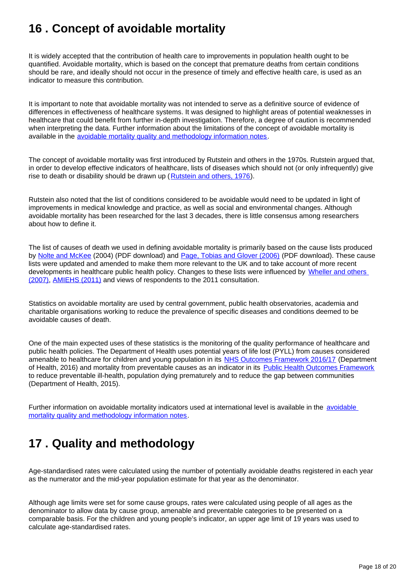# <span id="page-17-0"></span>**16 . Concept of avoidable mortality**

It is widely accepted that the contribution of health care to improvements in population health ought to be quantified. Avoidable mortality, which is based on the concept that premature deaths from certain conditions should be rare, and ideally should not occur in the presence of timely and effective health care, is used as an indicator to measure this contribution.

It is important to note that avoidable mortality was not intended to serve as a definitive source of evidence of differences in effectiveness of healthcare systems. It was designed to highlight areas of potential weaknesses in healthcare that could benefit from further in-depth investigation. Therefore, a degree of caution is recommended when interpreting the data. Further information about the limitations of the concept of avoidable mortality is available in the [avoidable mortality quality and methodology information notes.](https://www.ons.gov.uk/peoplepopulationandcommunity/healthandsocialcare/causesofdeath/qmis/avoidablemortalityinenglandandwalesqmi)

The concept of avoidable mortality was first introduced by Rutstein and others in the 1970s. Rutstein argued that, in order to develop effective indicators of healthcare, lists of diseases which should not (or only infrequently) give rise to death or disability should be drawn up ([Rutstein and others, 1976\)](http://www.nejm.org/doi/full/10.1056/nejm197603112941104).

Rutstein also noted that the list of conditions considered to be avoidable would need to be updated in light of improvements in medical knowledge and practice, as well as social and environmental changes. Although avoidable mortality has been researched for the last 3 decades, there is little consensus among researchers about how to define it.

The list of causes of death we used in defining avoidable mortality is primarily based on the cause lists produced by [Nolte and McKee](http://www.nuffieldtrust.org.uk/sites/files/nuffield/publication/does-healthcare-save-lives-mar04.pdf) (2004) (PDF download) and [Page, Tobias and Glover \(2006\)](http://www.atlantesanitario.it/index.php?option=com_phocadownload&view=category&id=151:bibliografia&download=58:&start=20&Itemid=1) (PDF download). These cause lists were updated and amended to make them more relevant to the UK and to take account of more recent developments in healthcare public health policy. Changes to these lists were influenced by [Wheller and others](http://www.ons.gov.uk/ons/dcp19975_61377.xml)  [\(2007\)](http://www.ons.gov.uk/ons/dcp19975_61377.xml), [AMIEHS \(2011\)](http://amiehs.lshtm.ac.uk/) and views of respondents to the 2011 consultation.

Statistics on avoidable mortality are used by central government, public health observatories, academia and charitable organisations working to reduce the prevalence of specific diseases and conditions deemed to be avoidable causes of death.

One of the main expected uses of these statistics is the monitoring of the quality performance of healthcare and public health policies. The Department of Health uses potential years of life lost (PYLL) from causes considered amenable to healthcare for children and young population in its [NHS Outcomes Framework 2016/17](https://www.gov.uk/government/publications/nhs-outcomes-framework-2016-to-2017) (Department of Health, 2016) and mortality from preventable causes as an indicator in its [Public Health Outcomes Framework](https://www.gov.uk/government/publications/healthy-lives-healthy-people-improving-outcomes-and-supporting-transparency) to reduce preventable ill-health, population dying prematurely and to reduce the gap between communities (Department of Health, 2015).

Further information on [avoidable](https://www.ons.gov.uk/peoplepopulationandcommunity/healthandsocialcare/causesofdeath/qmis/avoidablemortalityinenglandandwalesqmi) mortality indicators used at international level is available in the avoidable [mortality quality and methodology information notes.](https://www.ons.gov.uk/peoplepopulationandcommunity/healthandsocialcare/causesofdeath/qmis/avoidablemortalityinenglandandwalesqmi)

# <span id="page-17-1"></span>**17 . Quality and methodology**

Age-standardised rates were calculated using the number of potentially avoidable deaths registered in each year as the numerator and the mid-year population estimate for that year as the denominator.

Although age limits were set for some cause groups, rates were calculated using people of all ages as the denominator to allow data by cause group, amenable and preventable categories to be presented on a comparable basis. For the children and young people's indicator, an upper age limit of 19 years was used to calculate age-standardised rates.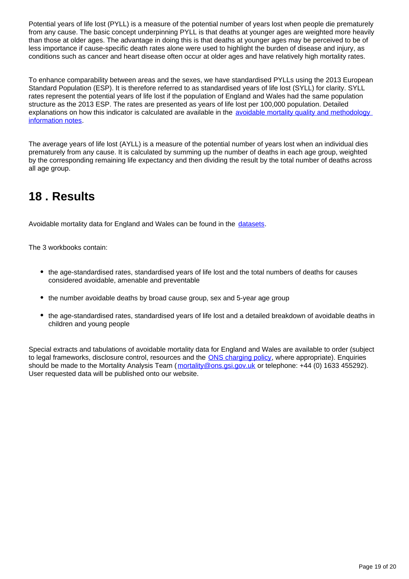Potential years of life lost (PYLL) is a measure of the potential number of years lost when people die prematurely from any cause. The basic concept underpinning PYLL is that deaths at younger ages are weighted more heavily than those at older ages. The advantage in doing this is that deaths at younger ages may be perceived to be of less importance if cause-specific death rates alone were used to highlight the burden of disease and injury, as conditions such as cancer and heart disease often occur at older ages and have relatively high mortality rates.

To enhance comparability between areas and the sexes, we have standardised PYLLs using the 2013 European Standard Population (ESP). It is therefore referred to as standardised years of life lost (SYLL) for clarity. SYLL rates represent the potential years of life lost if the population of England and Wales had the same population structure as the 2013 ESP. The rates are presented as years of life lost per 100,000 population. Detailed explanations on how this indicator is calculated are available in the avoidable mortality quality and methodology [information notes](https://www.ons.gov.uk/peoplepopulationandcommunity/healthandsocialcare/causesofdeath/qmis/avoidablemortalityinenglandandwalesqmi).

The average years of life lost (AYLL) is a measure of the potential number of years lost when an individual dies prematurely from any cause. It is calculated by summing up the number of deaths in each age group, weighted by the corresponding remaining life expectancy and then dividing the result by the total number of deaths across all age group.

# <span id="page-18-0"></span>**18 . Results**

Avoidable mortality data for England and Wales can be found in the [datasets](https://www.ons.gov.uk/peoplepopulationandcommunity/healthandsocialcare/causesofdeath/bulletins/avoidablemortalityinenglandandwales/2014/relateddata).

The 3 workbooks contain:

- the age-standardised rates, standardised years of life lost and the total numbers of deaths for causes considered avoidable, amenable and preventable
- the number avoidable deaths by broad cause group, sex and 5-year age group
- the age-standardised rates, standardised years of life lost and a detailed breakdown of avoidable deaths in children and young people

Special extracts and tabulations of avoidable mortality data for England and Wales are available to order (subject to legal frameworks, disclosure control, resources and the **ONS** charging policy, where appropriate). Enquiries should be made to the Mortality Analysis Team (mortality@ons.gsi.gov.uk or telephone: +44 (0) 1633 455292). User requested data will be published onto our website.